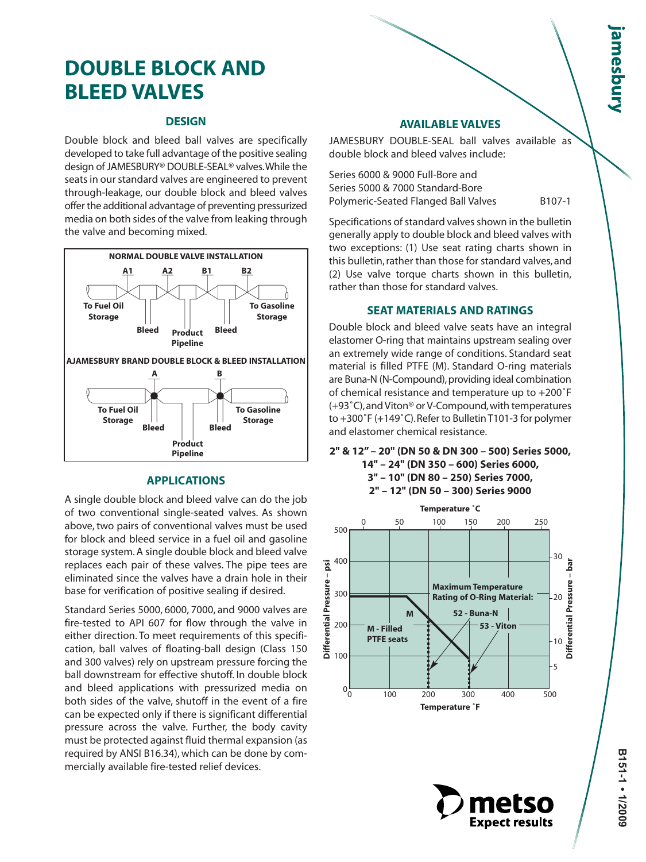# **DOUBLE BLOCK AND BLEED VALVES**

## **DESIGN**

Double block and bleed ball valves are specifically developed to take full advantage of the positive sealing design of JAMESBURY® DOUBLE-SEAL® valves.While the seats in our standard valves are engineered to prevent through-leakage, our double block and bleed valves offer the additional advantage of preventing pressurized media on both sides of the valve from leaking through the valve and becoming mixed.



# **APPLICATIONS**

A single double block and bleed valve can do the job of two conventional single-seated valves. As shown above, two pairs of conventional valves must be used for block and bleed service in a fuel oil and gasoline storage system. A single double block and bleed valve replaces each pair of these valves. The pipe tees are eliminated since the valves have a drain hole in their base for verification of positive sealing if desired.

Standard Series 5000, 6000, 7000, and 9000 valves are fire-tested to API 607 for flow through the valve in either direction. To meet requirements of this specification, ball valves of floating-ball design (Class 150 and 300 valves) rely on upstream pressure forcing the ball downstream for effective shutoff. In double block and bleed applications with pressurized media on both sides of the valve, shutoff in the event of a fire can be expected only if there is significant differential pressure across the valve. Further, the body cavity must be protected against fluid thermal expansion (as required by ANSI B16.34), which can be done by commercially available fire-tested relief devices.

#### **AVAILABLE VALVES**

JAMESBURY DOUBLE-SEAL ball valves available as double block and bleed valves include:

Series 6000 & 9000 Full-Bore and Series 5000 & 7000 Standard-Bore Polymeric-Seated Flanged Ball Valves B107-1

Specifications of standard valves shown in the bulletin generally apply to double block and bleed valves with two exceptions: (1) Use seat rating charts shown in this bulletin, rather than those for standard valves, and (2) Use valve torque charts shown in this bulletin, rather than those for standard valves.

# **SEAT MATERIALS AND RATINGS**

Double block and bleed valve seats have an integral elastomer O-ring that maintains upstream sealing over an extremely wide range of conditions. Standard seat material is filled PTFE (M). Standard O-ring materials are Buna-N (N-Compound), providing ideal combination of chemical resistance and temperature up to +200˚F (+93˚C),and Viton® or V-Compound,with temperatures to +300˚F (+149˚C).Refer to Bulletin T101-3 for polymer and elastomer chemical resistance.

**Pipeline 2" & 12" – 20" (DN 50 & DN 300 – 500) Series 5000, 14" – 24" (DN 350 – 600) Series 6000, 3" – 10" (DN 80 – 250) Series 7000,**



**Expect results** 

**2" – 12" (DN 50 – 300) Series 9000**